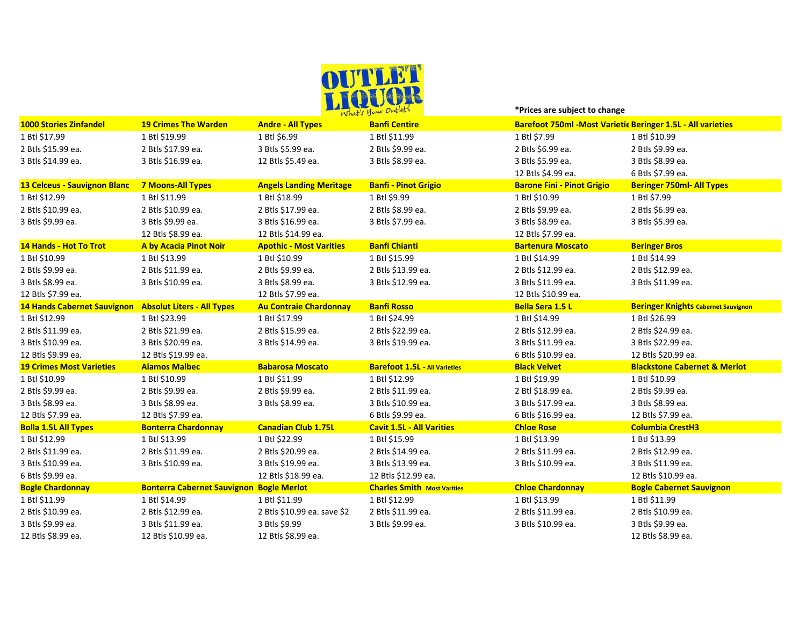

**\*Prices are subject to change** 

| <b>1000 Stories Zinfandel</b>                          | <b>19 Crimes The Warden</b>                     | $N$ $M$ $N$<br><b>Andre - All Types</b> | <b>Banfi Centire</b>                 | <b>Barefoot 750ml - Most Varietie Beringer 1.5L - All varieties</b> |                                            |
|--------------------------------------------------------|-------------------------------------------------|-----------------------------------------|--------------------------------------|---------------------------------------------------------------------|--------------------------------------------|
| 1 Btl \$17.99                                          | 1 Btl \$19.99                                   | 1 Btl \$6.99                            | 1 Btl \$11.99                        | 1 Btl \$7.99                                                        | 1 Btl \$10.99                              |
| 2 Btls \$15.99 ea.                                     | 2 Btls \$17.99 ea.                              | 3 Btls \$5.99 ea.                       | 2 Btls \$9.99 ea.                    | 2 Btls \$6.99 ea.                                                   | 2 Btls \$9.99 ea.                          |
| 3 Btls \$14.99 ea.                                     | 3 Btls \$16.99 ea.                              | 12 Btls \$5.49 ea.                      | 3 Btls \$8.99 ea.                    | 3 Btls \$5.99 ea.                                                   | 3 Btls \$8.99 ea.                          |
|                                                        |                                                 |                                         |                                      | 12 Btls \$4.99 ea.                                                  | 6 Btls \$7.99 ea.                          |
| <b>13 Celceus - Sauvignon Blanc</b>                    | <b>7 Moons-All Types</b>                        | <b>Angels Landing Meritage</b>          | <b>Banfi - Pinot Grigio</b>          | <b>Barone Fini - Pinot Grigio</b>                                   | <b>Beringer 750ml- All Types</b>           |
| 1 Btl \$12.99                                          | 1 Btl \$11.99                                   | 1 Btl \$18.99                           | 1 Btl \$9.99                         | 1 Btl \$10.99                                                       | 1 Btl \$7.99                               |
| 2 Btls \$10.99 ea.                                     | 2 Btls \$10.99 ea.                              | 2 Btls \$17.99 ea.                      | 2 Btls \$8.99 ea.                    | 2 Btls \$9.99 ea.                                                   | 2 Btls \$6.99 ea.                          |
| 3 Btls \$9.99 ea.                                      | 3 Btls \$9.99 ea.                               | 3 Btls \$16.99 ea.                      | 3 Btls \$7.99 ea.                    | 3 Btls \$8.99 ea.                                                   | 3 Btls \$5.99 ea.                          |
|                                                        | 12 Btls \$8.99 ea.                              | 12 Btls \$14.99 ea.                     |                                      | 12 Btls \$7.99 ea.                                                  |                                            |
| 14 Hands - Hot To Trot                                 | A by Acacia Pinot Noir                          | <b>Apothic - Most Varities</b>          | <b>Banfi Chianti</b>                 | <b>Bartenura Moscato</b>                                            | <b>Beringer Bros</b>                       |
| 1 Btl \$10.99                                          | 1 Btl \$13.99                                   | 1 Btl \$10.99                           | 1 Btl \$15.99                        | 1 Btl \$14.99                                                       | 1 Btl \$14.99                              |
| 2 Btls \$9.99 ea.                                      | 2 Btls \$11.99 ea.                              | 2 Btls \$9.99 ea.                       | 2 Btls \$13.99 ea.                   | 2 Btls \$12.99 ea.                                                  | 2 Btls \$12.99 ea.                         |
| 3 Btls \$8.99 ea.                                      | 3 Btls \$10.99 ea.                              | 3 Btls \$8.99 ea.                       | 3 Btls \$12.99 ea.                   | 3 Btls \$11.99 ea.                                                  | 3 Btls \$11.99 ea.                         |
| 12 Btls \$7.99 ea.                                     |                                                 | 12 Btls \$7.99 ea.                      |                                      | 12 Btls \$10.99 ea.                                                 |                                            |
| 14 Hands Cabernet Sauvignon Absolut Liters - All Types |                                                 | <b>Au Contraie Chardonnay</b>           | <b>Banfi Rosso</b>                   | <b>Bella Sera 1.5 L</b>                                             | <b>Beringer Knights Cabernet Sauvignon</b> |
| 1 Btl \$12.99                                          | 1 Btl \$23.99                                   | 1 Btl \$17.99                           | 1 Btl \$24.99                        | 1 Btl \$14.99                                                       | 1 Btl \$26.99                              |
| 2 Btls \$11.99 ea.                                     | 2 Btls \$21.99 ea.                              | 2 Btls \$15.99 ea.                      | 2 Btls \$22.99 ea.                   | 2 Btls \$12.99 ea.                                                  | 2 Btls \$24.99 ea.                         |
| 3 Btls \$10.99 ea.                                     | 3 Btls \$20.99 ea.                              | 3 Btls \$14.99 ea.                      | 3 Btls \$19.99 ea.                   | 3 Btls \$11.99 ea.                                                  | 3 Btls \$22.99 ea.                         |
| 12 Btls \$9.99 ea.                                     | 12 Btls \$19.99 ea.                             |                                         |                                      | 6 Btls \$10.99 ea.                                                  | 12 Btls \$20.99 ea.                        |
| <b>19 Crimes Most Varieties</b>                        | <b>Alamos Malbec</b>                            | <b>Babarosa Moscato</b>                 | <b>Barefoot 1.5L - All Varieties</b> | <b>Black Velvet</b>                                                 | <b>Blackstone Cabernet &amp; Merlot</b>    |
| 1 Btl \$10.99                                          | 1 Btl \$10.99                                   | 1 Btl \$11.99                           | 1 Btl \$12.99                        | 1 Btl \$19.99                                                       | 1 Btl \$10.99                              |
| 2 Btls \$9.99 ea.                                      | 2 Btls \$9.99 ea.                               | 2 Btls \$9.99 ea.                       | 2 Btls \$11.99 ea.                   | 2 Btl \$18.99 ea.                                                   | 2 Btls \$9.99 ea.                          |
| 3 Btls \$8.99 ea.                                      | 3 Btls \$8.99 ea.                               | 3 Btls \$8.99 ea.                       | 3 Btls \$10.99 ea.                   | 3 Btls \$17.99 ea.                                                  | 3 Btls \$8.99 ea.                          |
| 12 Btls \$7.99 ea.                                     | 12 Btls \$7.99 ea.                              |                                         | 6 Btls \$9.99 ea.                    | 6 Btls \$16.99 ea.                                                  | 12 Btls \$7.99 ea.                         |
| <b>Bolla 1.5L All Types</b>                            | <b>Bonterra Chardonnay</b>                      | <b>Canadian Club 1.75L</b>              | <b>Cavit 1.5L - All Varities</b>     | <b>Chloe Rose</b>                                                   | <b>Columbia CrestH3</b>                    |
| 1 Btl \$12.99                                          | 1 Btl \$13.99                                   | 1 Btl \$22.99                           | 1 Btl \$15.99                        | 1 Btl \$13.99                                                       | 1 Btl \$13.99                              |
| 2 Btls \$11.99 ea.                                     | 2 Btls \$11.99 ea.                              | 2 Btls \$20.99 ea.                      | 2 Btls \$14.99 ea.                   | 2 Btls \$11.99 ea.                                                  | 2 Btls \$12.99 ea.                         |
| 3 Btls \$10.99 ea.                                     | 3 Btls \$10.99 ea.                              | 3 Btls \$19.99 ea.                      | 3 Btls \$13.99 ea.                   | 3 Btls \$10.99 ea.                                                  | 3 Btls \$11.99 ea.                         |
| 6 Btls \$9.99 ea.                                      |                                                 | 12 Btls \$18.99 ea.                     | 12 Btls \$12.99 ea.                  |                                                                     | 12 Btls \$10.99 ea.                        |
| <b>Bogle Chardonnay</b>                                | <b>Bonterra Cabernet Sauvignon Bogle Merlot</b> |                                         | <b>Charles Smith Most Varities</b>   | <b>Chloe Chardonnay</b>                                             | <b>Bogle Cabernet Sauvignon</b>            |
| 1 Btl \$11.99                                          | 1 Btl \$14.99                                   | 1 Btl \$11.99                           | 1 Btl \$12.99                        | 1 Btl \$13.99                                                       | 1 Btl \$11.99                              |
| 2 Btls \$10.99 ea.                                     | 2 Btls \$12.99 ea.                              | 2 Btls \$10.99 ea. save \$2             | 2 Btls \$11.99 ea.                   | 2 Btls \$11.99 ea.                                                  | 2 Btls \$10.99 ea.                         |
| 3 Btls \$9.99 ea.                                      | 3 Btls \$11.99 ea.                              | 3 Btls \$9.99                           | 3 Btls \$9.99 ea.                    | 3 Btls \$10.99 ea.                                                  | 3 Btls \$9.99 ea.                          |
| 12 Btls \$8.99 ea.                                     | 12 Btls \$10.99 ea.                             | 12 Btls \$8.99 ea.                      |                                      |                                                                     | 12 Btls \$8.99 ea.                         |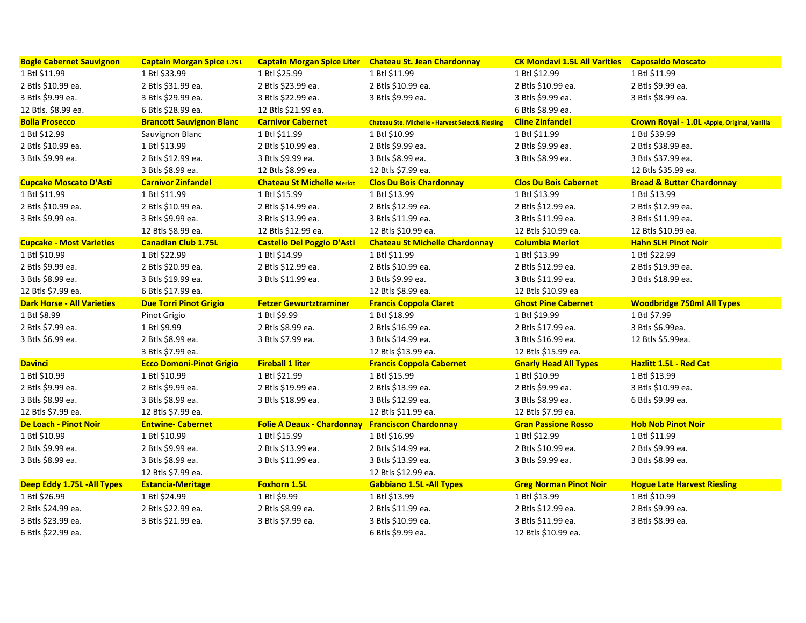| <b>Bogle Cabernet Sauvignon</b>   | <b>Captain Morgan Spice 1.75L</b> |                                                         | Captain Morgan Spice Liter Chateau St. Jean Chardonnay      | <b>CK Mondavi 1.5L All Varities</b> | <b>Caposaldo Moscato</b>                     |
|-----------------------------------|-----------------------------------|---------------------------------------------------------|-------------------------------------------------------------|-------------------------------------|----------------------------------------------|
| 1 Btl \$11.99                     | 1 Btl \$33.99                     | 1 Btl \$25.99                                           | 1 Btl \$11.99                                               | 1 Btl \$12.99                       | 1 Btl \$11.99                                |
| 2 Btls \$10.99 ea.                | 2 Btls \$31.99 ea.                | 2 Btls \$23.99 ea.                                      | 2 Btls \$10.99 ea.                                          | 2 Btls \$10.99 ea.                  | 2 Btls \$9.99 ea.                            |
| 3 Btls \$9.99 ea.                 | 3 Btls \$29.99 ea.                | 3 Btls \$22.99 ea.                                      | 3 Btls \$9.99 ea.                                           | 3 Btls \$9.99 ea.                   | 3 Btls \$8.99 ea.                            |
| 12 Btls. \$8.99 ea.               | 6 Btls \$28.99 ea.                | 12 Btls \$21.99 ea.                                     |                                                             | 6 Btls \$8.99 ea.                   |                                              |
| <b>Bolla Prosecco</b>             | <b>Brancott Sauvignon Blanc</b>   | <b>Carnivor Cabernet</b>                                | <b>Chateau Ste. Michelle - Harvest Select&amp; Riesling</b> | <b>Cline Zinfandel</b>              | Crown Royal - 1.0L -Apple, Original, Vanilla |
| 1 Btl \$12.99                     | Sauvignon Blanc                   | 1 Btl \$11.99                                           | 1 Btl \$10.99                                               | 1 Btl \$11.99                       | 1 Btl \$39.99                                |
| 2 Btls \$10.99 ea.                | 1 Btl \$13.99                     | 2 Btls \$10.99 ea.                                      | 2 Btls \$9.99 ea.                                           | 2 Btls \$9.99 ea.                   | 2 Btls \$38.99 ea.                           |
| 3 Btls \$9.99 ea.                 | 2 Btls \$12.99 ea.                | 3 Btls \$9.99 ea.                                       | 3 Btls \$8.99 ea.                                           | 3 Btls \$8.99 ea.                   | 3 Btls \$37.99 ea.                           |
|                                   | 3 Btls \$8.99 ea.                 | 12 Btls \$8.99 ea.                                      | 12 Btls \$7.99 ea.                                          |                                     | 12 Btls \$35.99 ea.                          |
| <b>Cupcake Moscato D'Asti</b>     | <b>Carnivor Zinfandel</b>         | <b>Chateau St Michelle Merlot</b>                       | <b>Clos Du Bois Chardonnay</b>                              | <b>Clos Du Bois Cabernet</b>        | <b>Bread &amp; Butter Chardonnay</b>         |
| 1 Btl \$11.99                     | 1 Btl \$11.99                     | 1 Btl \$15.99                                           | 1 Btl \$13.99                                               | 1 Btl \$13.99                       | 1 Btl \$13.99                                |
| 2 Btls \$10.99 ea.                | 2 Btls \$10.99 ea.                | 2 Btls \$14.99 ea.                                      | 2 Btls \$12.99 ea.                                          | 2 Btls \$12.99 ea.                  | 2 Btls \$12.99 ea.                           |
| 3 Btls \$9.99 ea.                 | 3 Btls \$9.99 ea.                 | 3 Btls \$13.99 ea.                                      | 3 Btls \$11.99 ea.                                          | 3 Btls \$11.99 ea.                  | 3 Btls \$11.99 ea.                           |
|                                   | 12 Btls \$8.99 ea.                | 12 Btls \$12.99 ea.                                     | 12 Btls \$10.99 ea.                                         | 12 Btls \$10.99 ea.                 | 12 Btls \$10.99 ea.                          |
| <b>Cupcake - Most Varieties</b>   | <b>Canadian Club 1.75L</b>        | <b>Castello Del Poggio D'Asti</b>                       | <b>Chateau St Michelle Chardonnay</b>                       | <b>Columbia Merlot</b>              | <b>Hahn SLH Pinot Noir</b>                   |
| 1 Btl \$10.99                     | 1 Btl \$22.99                     | 1 Btl \$14.99                                           | 1 Btl \$11.99                                               | 1 Btl \$13.99                       | 1 Btl \$22.99                                |
| 2 Btls \$9.99 ea.                 | 2 Btls \$20.99 ea.                | 2 Btls \$12.99 ea.                                      | 2 Btls \$10.99 ea.                                          | 2 Btls \$12.99 ea.                  | 2 Btls \$19.99 ea.                           |
| 3 Btls \$8.99 ea.                 | 3 Btls \$19.99 ea.                | 3 Btls \$11.99 ea.                                      | 3 Btls \$9.99 ea.                                           | 3 Btls \$11.99 ea.                  | 3 Btls \$18.99 ea.                           |
| 12 Btls \$7.99 ea.                | 6 Btls \$17.99 ea.                |                                                         | 12 Btls \$8.99 ea.                                          | 12 Btls \$10.99 ea                  |                                              |
| <b>Dark Horse - All Varieties</b> | <b>Due Torri Pinot Grigio</b>     | <b>Fetzer Gewurtztraminer</b>                           | <b>Francis Coppola Claret</b>                               | <b>Ghost Pine Cabernet</b>          | <b>Woodbridge 750ml All Types</b>            |
| 1 Btl \$8.99                      | Pinot Grigio                      | 1 Btl \$9.99                                            | 1 Btl \$18.99                                               | 1 Btl \$19.99                       | 1 Btl \$7.99                                 |
| 2 Btls \$7.99 ea.                 | 1 Btl \$9.99                      | 2 Btls \$8.99 ea.                                       | 2 Btls \$16.99 ea.                                          | 2 Btls \$17.99 ea.                  | 3 Btls \$6.99ea.                             |
| 3 Btls \$6.99 ea.                 | 2 Btls \$8.99 ea.                 | 3 Btls \$7.99 ea.                                       | 3 Btls \$14.99 ea.                                          | 3 Btls \$16.99 ea.                  | 12 Btls \$5.99ea.                            |
|                                   | 3 Btls \$7.99 ea.                 |                                                         | 12 Btls \$13.99 ea.                                         | 12 Btls \$15.99 ea.                 |                                              |
| <b>Davinci</b>                    | <b>Ecco Domoni-Pinot Grigio</b>   | <b>Fireball 1 liter</b>                                 | <b>Francis Coppola Cabernet</b>                             | <b>Gnarly Head All Types</b>        | <b>Hazlitt 1.5L - Red Cat</b>                |
| 1 Btl \$10.99                     | 1 Btl \$10.99                     | 1 Btl \$21.99                                           | 1 Btl \$15.99                                               | 1 Btl \$10.99                       | 1 Btl \$13.99                                |
| 2 Btls \$9.99 ea.                 | 2 Btls \$9.99 ea.                 | 2 Btls \$19.99 ea.                                      | 2 Btls \$13.99 ea.                                          | 2 Btls \$9.99 ea.                   | 3 Btls \$10.99 ea.                           |
| 3 Btls \$8.99 ea.                 | 3 Btls \$8.99 ea.                 | 3 Btls \$18.99 ea.                                      | 3 Btls \$12.99 ea.                                          | 3 Btls \$8.99 ea.                   | 6 Btls \$9.99 ea.                            |
| 12 Btls \$7.99 ea.                | 12 Btls \$7.99 ea.                |                                                         | 12 Btls \$11.99 ea.                                         | 12 Btls \$7.99 ea.                  |                                              |
| De Loach - Pinot Noir             | <b>Entwine-Cabernet</b>           | <b>Folie A Deaux - Chardonnay Franciscon Chardonnay</b> |                                                             | <b>Gran Passione Rosso</b>          | <b>Hob Nob Pinot Noir</b>                    |
| 1 Btl \$10.99                     | 1 Btl \$10.99                     | 1 Btl \$15.99                                           | 1 Btl \$16.99                                               | 1 Btl \$12.99                       | 1 Btl \$11.99                                |
| 2 Btls \$9.99 ea.                 | 2 Btls \$9.99 ea.                 | 2 Btls \$13.99 ea.                                      | 2 Btls \$14.99 ea.                                          | 2 Btls \$10.99 ea.                  | 2 Btls \$9.99 ea.                            |
| 3 Btls \$8.99 ea.                 | 3 Btls \$8.99 ea.                 | 3 Btls \$11.99 ea.                                      | 3 Btls \$13.99 ea.                                          | 3 Btls \$9.99 ea.                   | 3 Btls \$8.99 ea.                            |
|                                   | 12 Btls \$7.99 ea.                |                                                         | 12 Btls \$12.99 ea.                                         |                                     |                                              |
| Deep Eddy 1.75L - All Types       | <b>Estancia-Meritage</b>          | <b>Foxhorn 1.5L</b>                                     | <b>Gabbiano 1.5L - All Types</b>                            | <b>Greg Norman Pinot Noir</b>       | <b>Hogue Late Harvest Riesling</b>           |
| 1 Btl \$26.99                     | 1 Btl \$24.99                     | 1 Btl \$9.99                                            | 1 Btl \$13.99                                               | 1 Btl \$13.99                       | 1 Btl \$10.99                                |
| 2 Btls \$24.99 ea.                | 2 Btls \$22.99 ea.                | 2 Btls \$8.99 ea.                                       | 2 Btls \$11.99 ea.                                          | 2 Btls \$12.99 ea.                  | 2 Btls \$9.99 ea.                            |
| 3 Btls \$23.99 ea.                | 3 Btls \$21.99 ea.                | 3 Btls \$7.99 ea.                                       | 3 Btls \$10.99 ea.                                          | 3 Btls \$11.99 ea.                  | 3 Btls \$8.99 ea.                            |
| 6 Btls \$22.99 ea.                |                                   |                                                         | 6 Btls \$9.99 ea.                                           | 12 Btls \$10.99 ea.                 |                                              |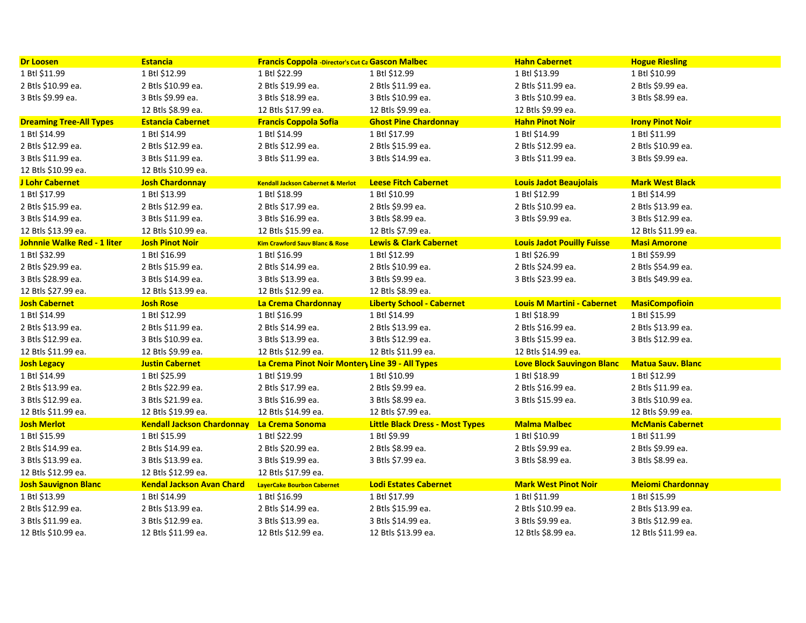| <b>Dr Loosen</b>               | <b>Estancia</b>                   | <b>Francis Coppola -Director's Cut Ca Gascon Malbec</b> |                                           | <b>Hahn Cabernet</b>                    | <b>Hogue Riesling</b>    |
|--------------------------------|-----------------------------------|---------------------------------------------------------|-------------------------------------------|-----------------------------------------|--------------------------|
| 1 Btl \$11.99                  | 1 Btl \$12.99                     | 1 Btl \$22.99                                           | 1 Btl \$12.99                             | 1 Btl \$13.99                           | 1 Btl \$10.99            |
| 2 Btls \$10.99 ea.             | 2 Btls \$10.99 ea.                | 2 Btls \$19.99 ea.                                      | 2 Btls \$11.99 ea.                        | 2 Btls \$11.99 ea.                      | 2 Btls \$9.99 ea.        |
| 3 Btls \$9.99 ea.              | 3 Btls \$9.99 ea.                 | 3 Btls \$18.99 ea.                                      | 3 Btls \$10.99 ea.                        | 3 Btls \$10.99 ea.                      | 3 Btls \$8.99 ea.        |
|                                | 12 Btls \$8.99 ea.                | 12 Btls \$17.99 ea.                                     | 12 Btls \$9.99 ea.                        | 12 Btls \$9.99 ea.                      |                          |
| <b>Dreaming Tree-All Types</b> | <b>Estancia Cabernet</b>          | <b>Francis Coppola Sofia</b>                            | <b>Ghost Pine Chardonnay</b>              | <b>Hahn Pinot Noir</b>                  | <b>Irony Pinot Noir</b>  |
| 1 Btl \$14.99                  | 1 Btl \$14.99                     | 1 Btl \$14.99                                           | 1 Btl \$17.99                             | 1 Btl \$14.99                           | 1 Btl \$11.99            |
| 2 Btls \$12.99 ea.             | 2 Btls \$12.99 ea.                | 2 Btls \$12.99 ea.                                      | 2 Btls \$15.99 ea.                        | 2 Btls \$12.99 ea.                      | 2 Btls \$10.99 ea.       |
| 3 Btls \$11.99 ea.             | 3 Btls \$11.99 ea.                | 3 Btls \$11.99 ea.                                      | 3 Btls \$14.99 ea.                        | 3 Btls \$11.99 ea.                      | 3 Btls \$9.99 ea.        |
| 12 Btls \$10.99 ea.            | 12 Btls \$10.99 ea.               |                                                         |                                           |                                         |                          |
| J Lohr Cabernet                | <b>Josh Chardonnay</b>            | <b>Kendall Jackson Cabernet &amp; Merlot</b>            | <b>Leese Fitch Cabernet</b>               | <b>Louis Jadot Beaujolais</b>           | <b>Mark West Black</b>   |
| 1 Btl \$17.99                  | 1 Btl \$13.99                     | 1 Btl \$18.99                                           | 1 Btl \$10.99                             | 1 Btl \$12.99                           | 1 Btl \$14.99            |
| 2 Btls \$15.99 ea.             | 2 Btls \$12.99 ea.                | 2 Btls \$17.99 ea.                                      | 2 Btls \$9.99 ea.                         | 2 Btls \$10.99 ea.                      | 2 Btls \$13.99 ea.       |
| 3 Btls \$14.99 ea.             | 3 Btls \$11.99 ea.                | 3 Btls \$16.99 ea.                                      | 3 Btls \$8.99 ea.                         | 3 Btls \$9.99 ea.                       | 3 Btls \$12.99 ea.       |
| 12 Btls \$13.99 ea.            | 12 Btls \$10.99 ea.               | 12 Btls \$15.99 ea.                                     | 12 Btls \$7.99 ea.                        |                                         | 12 Btls \$11.99 ea.      |
| Johnnie Walke Red - 1 liter    | <b>Josh Pinot Noir</b>            | <b>Kim Crawford Sauv Blanc &amp; Rose</b>               | <b>Lewis &amp; Clark Cabernet</b>         | <b>Louis Jadot Pouilly Fuisse</b>       | <b>Masi Amorone</b>      |
| 1 Btl \$32.99                  | 1 Btl \$16.99                     | 1 Btl \$16.99                                           | 1 Btl \$12.99                             | 1 Btl \$26.99                           | 1 Btl \$59.99            |
| 2 Btls \$29.99 ea.             | 2 Btls \$15.99 ea.                | 2 Btls \$14.99 ea.                                      | 2 Btls \$10.99 ea.                        | 2 Btls \$24.99 ea.                      | 2 Btls \$54.99 ea.       |
| 3 Btls \$28.99 ea.             | 3 Btls \$14.99 ea.                | 3 Btls \$13.99 ea.                                      | 3 Btls \$9.99 ea.                         | 3 Btls \$23.99 ea.                      | 3 Btls \$49.99 ea.       |
| 12 Btls \$27.99 ea.            | 12 Btls \$13.99 ea.               | 12 Btls \$12.99 ea.                                     | 12 Btls \$8.99 ea.                        |                                         |                          |
|                                |                                   |                                                         |                                           |                                         |                          |
| <b>Josh Cabernet</b>           | <b>Josh Rose</b>                  | La Crema Chardonnay                                     | <b>Liberty School - Cabernet</b>          | <b>Louis M Martini - Cabernet</b>       | <b>MasiCompofioin</b>    |
| 1 Btl \$14.99                  | 1 Btl \$12.99                     | 1 Btl \$16.99                                           | 1 Btl \$14.99                             | 1 Btl \$18.99                           | 1 Btl \$15.99            |
| 2 Btls \$13.99 ea.             | 2 Btls \$11.99 ea.                | 2 Btls \$14.99 ea.                                      | 2 Btls \$13.99 ea.                        | 2 Btls \$16.99 ea.                      | 2 Btls \$13.99 ea.       |
| 3 Btls \$12.99 ea.             | 3 Btls \$10.99 ea.                | 3 Btls \$13.99 ea.                                      | 3 Btls \$12.99 ea.                        | 3 Btls \$15.99 ea.                      | 3 Btls \$12.99 ea.       |
| 12 Btls \$11.99 ea.            | 12 Btls \$9.99 ea.                | 12 Btls \$12.99 ea.                                     | 12 Btls \$11.99 ea.                       | 12 Btls \$14.99 ea.                     |                          |
| <b>Josh Legacy</b>             | <b>Justin Cabernet</b>            | La Crema Pinot Noir Montery Line 39 - All Types         |                                           | <b>Love Block Sauvingon Blanc</b>       | <b>Matua Sauv. Blanc</b> |
| 1 Btl \$14.99                  | 1 Btl \$25.99                     | 1 Btl \$19.99                                           | 1 Btl \$10.99                             | 1 Btl \$18.99                           | 1 Btl \$12.99            |
| 2 Btls \$13.99 ea.             | 2 Btls \$22.99 ea.                | 2 Btls \$17.99 ea.                                      | 2 Btls \$9.99 ea.                         | 2 Btls \$16.99 ea.                      | 2 Btls \$11.99 ea.       |
| 3 Btls \$12.99 ea.             | 3 Btls \$21.99 ea.                | 3 Btls \$16.99 ea.                                      | 3 Btls \$8.99 ea.                         | 3 Btls \$15.99 ea.                      | 3 Btls \$10.99 ea.       |
| 12 Btls \$11.99 ea.            | 12 Btls \$19.99 ea.               | 12 Btls \$14.99 ea.                                     | 12 Btls \$7.99 ea.                        |                                         | 12 Btls \$9.99 ea.       |
| <b>Josh Merlot</b>             | <b>Kendall Jackson Chardonnay</b> | La Crema Sonoma                                         | <b>Little Black Dress - Most Types</b>    | <b>Malma Malbec</b>                     | <b>McManis Cabernet</b>  |
| 1 Btl \$15.99                  | 1 Btl \$15.99                     | 1 Btl \$22.99                                           | 1 Btl \$9.99                              | 1 Btl \$10.99                           | 1 Btl \$11.99            |
| 2 Btls \$14.99 ea.             | 2 Btls \$14.99 ea.                | 2 Btls \$20.99 ea.                                      | 2 Btls \$8.99 ea.                         | 2 Btls \$9.99 ea.                       | 2 Btls \$9.99 ea.        |
| 3 Btls \$13.99 ea.             | 3 Btls \$13.99 ea.                | 3 Btls \$19.99 ea.                                      | 3 Btls \$7.99 ea.                         | 3 Btls \$8.99 ea.                       | 3 Btls \$8.99 ea.        |
| 12 Btls \$12.99 ea.            | 12 Btls \$12.99 ea.               | 12 Btls \$17.99 ea.                                     |                                           |                                         |                          |
| <b>Josh Sauvignon Blanc</b>    | <b>Kendal Jackson Avan Chard</b>  | <b>LayerCake Bourbon Cabernet</b>                       | <b>Lodi Estates Cabernet</b>              | <b>Mark West Pinot Noir</b>             | <b>Meiomi Chardonnay</b> |
| 1 Btl \$13.99                  | 1 Btl \$14.99                     | 1 Btl \$16.99                                           | 1 Btl \$17.99                             | 1 Btl \$11.99                           | 1 Btl \$15.99            |
| 2 Btls \$12.99 ea.             | 2 Btls \$13.99 ea.                | 2 Btls \$14.99 ea.                                      | 2 Btls \$15.99 ea.                        | 2 Btls \$10.99 ea.                      | 2 Btls \$13.99 ea.       |
| 3 Btls \$11.99 ea.             | 3 Btls \$12.99 ea.                | 3 Btls \$13.99 ea.                                      | 3 Btls \$14.99 ea.<br>12 Btls \$13.99 ea. | 3 Btls \$9.99 ea.<br>12 Btls \$8.99 ea. | 3 Btls \$12.99 ea.       |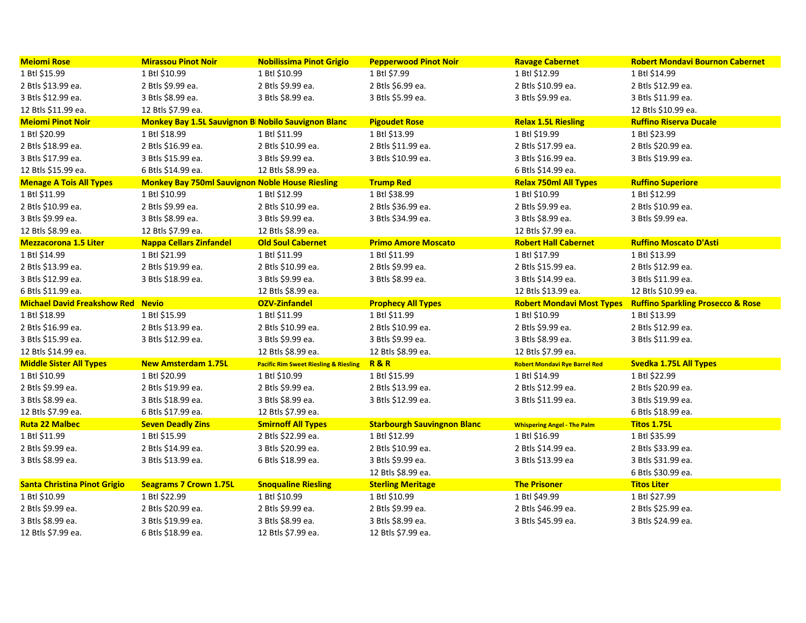| <b>Meiomi Rose</b>                       | <b>Mirassou Pinot Noir</b>                             | <b>Nobilissima Pinot Grigio</b>                  | <b>Pepperwood Pinot Noir</b>            | <b>Ravage Cabernet</b>               | <b>Robert Mondavi Bournon Cabernet</b>       |
|------------------------------------------|--------------------------------------------------------|--------------------------------------------------|-----------------------------------------|--------------------------------------|----------------------------------------------|
| 1 Btl \$15.99                            | 1 Btl \$10.99                                          | 1 Btl \$10.99                                    | 1 Btl \$7.99                            | 1 Btl \$12.99                        | 1 Btl \$14.99                                |
| 2 Btls \$13.99 ea.                       | 2 Btls \$9.99 ea.                                      | 2 Btls \$9.99 ea.                                | 2 Btls \$6.99 ea.                       | 2 Btls \$10.99 ea.                   | 2 Btls \$12.99 ea.                           |
| 3 Btls \$12.99 ea.                       | 3 Btls \$8.99 ea.                                      | 3 Btls \$8.99 ea.                                | 3 Btls \$5.99 ea.                       | 3 Btls \$9.99 ea.                    | 3 Btls \$11.99 ea.                           |
| 12 Btls \$11.99 ea.                      | 12 Btls \$7.99 ea.                                     |                                                  |                                         |                                      | 12 Btls \$10.99 ea.                          |
| <b>Meiomi Pinot Noir</b>                 | Monkey Bay 1.5L Sauvignon B Nobilo Sauvignon Blanc     |                                                  | <b>Pigoudet Rose</b>                    | <b>Relax 1.5L Riesling</b>           | <b>Ruffino Riserva Ducale</b>                |
| 1 Btl \$20.99                            | 1 Btl \$18.99                                          | 1 Btl \$11.99                                    | 1 Btl \$13.99                           | 1 Btl \$19.99                        | 1 Btl \$23.99                                |
| 2 Btls \$18.99 ea.                       | 2 Btls \$16.99 ea.                                     | 2 Btls \$10.99 ea.                               | 2 Btls \$11.99 ea.                      | 2 Btls \$17.99 ea.                   | 2 Btls \$20.99 ea.                           |
| 3 Btls \$17.99 ea.                       | 3 Btls \$15.99 ea.                                     | 3 Btls \$9.99 ea.                                | 3 Btls \$10.99 ea.                      | 3 Btls \$16.99 ea.                   | 3 Btls \$19.99 ea.                           |
| 12 Btls \$15.99 ea.                      | 6 Btls \$14.99 ea.                                     | 12 Btls \$8.99 ea.                               |                                         | 6 Btls \$14.99 ea.                   |                                              |
| <b>Menage A Tois All Types</b>           | <b>Monkey Bay 750ml Sauvignon Noble House Riesling</b> |                                                  | <b>Trump Red</b>                        | <b>Relax 750ml All Types</b>         | <b>Ruffino Superiore</b>                     |
| 1 Btl \$11.99                            | 1 Btl \$10.99                                          | 1 Btl \$12.99                                    | 1 Btl \$38.99                           | 1 Btl \$10.99                        | 1 Btl \$12.99                                |
| 2 Btls \$10.99 ea.                       | 2 Btls \$9.99 ea.                                      | 2 Btls \$10.99 ea.                               | 2 Btls \$36.99 ea.                      | 2 Btls \$9.99 ea.                    | 2 Btls \$10.99 ea.                           |
| 3 Btls \$9.99 ea.                        | 3 Btls \$8.99 ea.                                      | 3 Btls \$9.99 ea.                                | 3 Btls \$34.99 ea.                      | 3 Btls \$8.99 ea.                    | 3 Btls \$9.99 ea.                            |
| 12 Btls \$8.99 ea.                       | 12 Btls \$7.99 ea.                                     | 12 Btls \$8.99 ea.                               |                                         | 12 Btls \$7.99 ea.                   |                                              |
| <b>Mezzacorona 1.5 Liter</b>             | <b>Nappa Cellars Zinfandel</b>                         | <b>Old Soul Cabernet</b>                         | <b>Primo Amore Moscato</b>              | <b>Robert Hall Cabernet</b>          | <b>Ruffino Moscato D'Asti</b>                |
| 1 Btl \$14.99                            | 1 Btl \$21.99                                          | 1 Btl \$11.99                                    | 1 Btl \$11.99                           | 1 Btl \$17.99                        | 1 Btl \$13.99                                |
| 2 Btls \$13.99 ea.                       | 2 Btls \$19.99 ea.                                     | 2 Btls \$10.99 ea.                               | 2 Btls \$9.99 ea.                       | 2 Btls \$15.99 ea.                   | 2 Btls \$12.99 ea.                           |
| 3 Btls \$12.99 ea.                       | 3 Btls \$18.99 ea.                                     | 3 Btls \$9.99 ea.                                | 3 Btls \$8.99 ea.                       | 3 Btls \$14.99 ea.                   | 3 Btls \$11.99 ea.                           |
| 6 Btls \$11.99 ea.                       |                                                        | 12 Btls \$8.99 ea.                               |                                         | 12 Btls \$13.99 ea.                  | 12 Btls \$10.99 ea.                          |
|                                          |                                                        |                                                  |                                         |                                      |                                              |
| <b>Michael David Freakshow Red Nevio</b> |                                                        | <b>OZV-Zinfandel</b>                             | <b>Prophecy All Types</b>               | <b>Robert Mondavi Most Types</b>     | <b>Ruffino Sparkling Prosecco &amp; Rose</b> |
| 1 Btl \$18.99                            | 1 Btl \$15.99                                          | 1 Btl \$11.99                                    | 1 Btl \$11.99                           | 1 Btl \$10.99                        | 1 Btl \$13.99                                |
| 2 Btls \$16.99 ea.                       | 2 Btls \$13.99 ea.                                     | 2 Btls \$10.99 ea.                               | 2 Btls \$10.99 ea.                      | 2 Btls \$9.99 ea.                    | 2 Btls \$12.99 ea.                           |
| 3 Btls \$15.99 ea.                       | 3 Btls \$12.99 ea.                                     | 3 Btls \$9.99 ea.                                | 3 Btls \$9.99 ea.                       | 3 Btls \$8.99 ea.                    | 3 Btls \$11.99 ea.                           |
| 12 Btls \$14.99 ea.                      |                                                        | 12 Btls \$8.99 ea.                               | 12 Btls \$8.99 ea.                      | 12 Btls \$7.99 ea.                   |                                              |
| <b>Middle Sister All Types</b>           | <b>New Amsterdam 1.75L</b>                             | <b>Pacific Rim Sweet Riesling &amp; Riesling</b> | R&R                                     | <b>Robert Mondavi Rye Barrel Red</b> | Svedka 1.75L All Types                       |
| 1 Btl \$10.99                            | 1 Btl \$20.99                                          | 1 Btl \$10.99                                    | 1 Btl \$15.99                           | 1 Btl \$14.99                        | 1 Btl \$22.99                                |
| 2 Btls \$9.99 ea.                        | 2 Btls \$19.99 ea.                                     | 2 Btls \$9.99 ea.                                | 2 Btls \$13.99 ea.                      | 2 Btls \$12.99 ea.                   | 2 Btls \$20.99 ea.                           |
| 3 Btls \$8.99 ea.                        | 3 Btls \$18.99 ea.                                     | 3 Btls \$8.99 ea.                                | 3 Btls \$12.99 ea.                      | 3 Btls \$11.99 ea.                   | 3 Btls \$19.99 ea.                           |
| 12 Btls \$7.99 ea.                       | 6 Btls \$17.99 ea.                                     | 12 Btls \$7.99 ea.                               |                                         |                                      | 6 Btls \$18.99 ea.                           |
| Ruta 22 Malbec                           | <b>Seven Deadly Zins</b>                               | <b>Smirnoff All Types</b>                        | <b>Starbourgh Sauvingnon Blanc</b>      | <b>Whispering Angel - The Palm</b>   | <b>Titos 1.75L</b>                           |
| 1 Btl \$11.99                            | 1 Btl \$15.99                                          | 2 Btls \$22.99 ea.                               | 1 Btl \$12.99                           | 1 Btl \$16.99                        | 1 Btl \$35.99                                |
| 2 Btls \$9.99 ea.                        | 2 Btls \$14.99 ea.                                     | 3 Btls \$20.99 ea.                               | 2 Btls \$10.99 ea.                      | 2 Btls \$14.99 ea.                   | 2 Btls \$33.99 ea.                           |
|                                          | 3 Btls \$13.99 ea.                                     | 6 Btls \$18.99 ea.                               | 3 Btls \$9.99 ea.                       | 3 Btls \$13.99 ea                    | 3 Btls \$31.99 ea.                           |
|                                          |                                                        |                                                  | 12 Btls \$8.99 ea.                      |                                      | 6 Btls \$30.99 ea.                           |
| Santa Christina Pinot Grigio             | <b>Seagrams 7 Crown 1.75L</b>                          | <b>Snoqualine Riesling</b>                       | <b>Sterling Meritage</b>                | <b>The Prisoner</b>                  | <b>Titos Liter</b>                           |
| 3 Btls \$8.99 ea.<br>1 Btl \$10.99       | 1 Btl \$22.99                                          | 1 Btl \$10.99                                    | 1 Btl \$10.99                           | 1 Btl \$49.99                        | 1 Btl \$27.99                                |
| 2 Btls \$9.99 ea.                        | 2 Btls \$20.99 ea.                                     | 2 Btls \$9.99 ea.                                | 2 Btls \$9.99 ea.                       | 2 Btls \$46.99 ea.                   | 2 Btls \$25.99 ea.                           |
| 3 Btls \$8.99 ea.<br>12 Btls \$7.99 ea.  | 3 Btls \$19.99 ea.<br>6 Btls \$18.99 ea.               | 3 Btls \$8.99 ea.<br>12 Btls \$7.99 ea.          | 3 Btls \$8.99 ea.<br>12 Btls \$7.99 ea. | 3 Btls \$45.99 ea.                   | 3 Btls \$24.99 ea.                           |